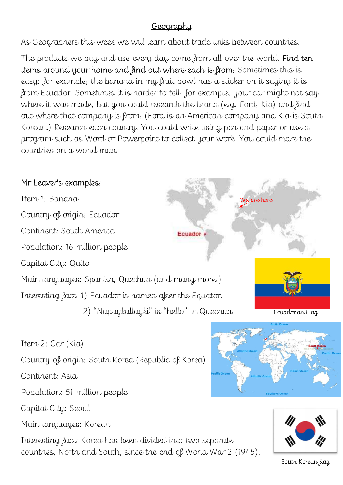## **Geography**

As Geographers this week we will learn about trade links between countries.

The products we buy and use every day come from all over the world. Find ten items around your home and find out where each is from. Sometimes this is easy: for example, the banana in my fruit bowl has a sticker on it saying it is from Ecuador. Sometimes it is harder to tell: for example, your car might not say where it was made, but you could research the brand (e.g. Ford, Kia) and find out where that company is from. (Ford is an American company and Kia is South Korean.) Research each country. You could write using pen and paper or use a program such as Word or Powerpoint to collect your work. You could mark the countries on a world map.

## Mr Leaver's examples:

Item 1: Banana We are here Country of origin: Ecuador Continent: South America Ecuador Population: 16 million people Capital City: Quito Main languages: Spanish, Quechua (and many more!) Interesting fact: 1) Ecuador is named after the Equator. 2) "Napaykullayki" is "hello" in Quechua. Ecuadorian Flag

Item 2: Car (Kia)

Country of origin: South Korea (Republic of Korea)

Continent: Asia

Population: 51 million people

Capital City: Seoul

Main languages: Korean

Interesting fact: Korea has been divided into two separate countries, North and South, since the end of World War 2 (1945).





South Korean flag